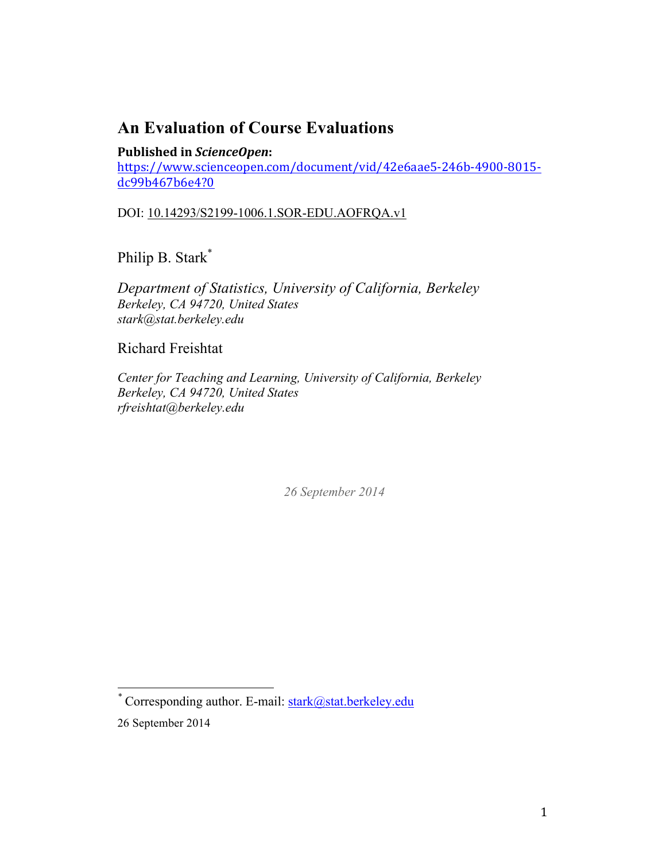# **An Evaluation of Course Evaluations**

# **Published in ScienceOpen:**

https://www.scienceopen.com/document/vid/42e6aae5-246b-4900-8015 dc99b467b6e4?0

DOI: 10.14293/S2199-1006.1.SOR-EDU.AOFRQA.v1

Philip B. Stark\*

*Department of Statistics, University of California, Berkeley Berkeley, CA 94720, United States stark@stat.berkeley.edu*

Richard Freishtat

*Center for Teaching and Learning, University of California, Berkeley Berkeley, CA 94720, United States rfreishtat@berkeley.edu*

*26 September 2014*

 *\** Corresponding author. E-mail: stark@stat.berkeley.edu

<sup>26</sup> September 2014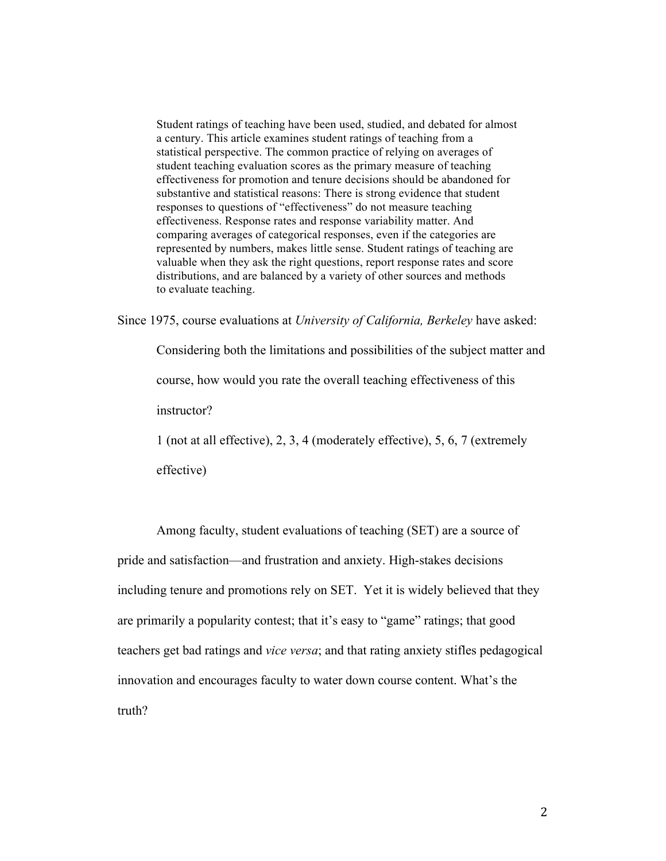Student ratings of teaching have been used, studied, and debated for almost a century. This article examines student ratings of teaching from a statistical perspective. The common practice of relying on averages of student teaching evaluation scores as the primary measure of teaching effectiveness for promotion and tenure decisions should be abandoned for substantive and statistical reasons: There is strong evidence that student responses to questions of "effectiveness" do not measure teaching effectiveness. Response rates and response variability matter. And comparing averages of categorical responses, even if the categories are represented by numbers, makes little sense. Student ratings of teaching are valuable when they ask the right questions, report response rates and score distributions, and are balanced by a variety of other sources and methods to evaluate teaching.

Since 1975, course evaluations at *University of California, Berkeley* have asked:

Considering both the limitations and possibilities of the subject matter and course, how would you rate the overall teaching effectiveness of this instructor?

1 (not at all effective), 2, 3, 4 (moderately effective), 5, 6, 7 (extremely

effective)

Among faculty, student evaluations of teaching (SET) are a source of pride and satisfaction—and frustration and anxiety. High-stakes decisions including tenure and promotions rely on SET. Yet it is widely believed that they are primarily a popularity contest; that it's easy to "game" ratings; that good teachers get bad ratings and *vice versa*; and that rating anxiety stifles pedagogical innovation and encourages faculty to water down course content. What's the truth?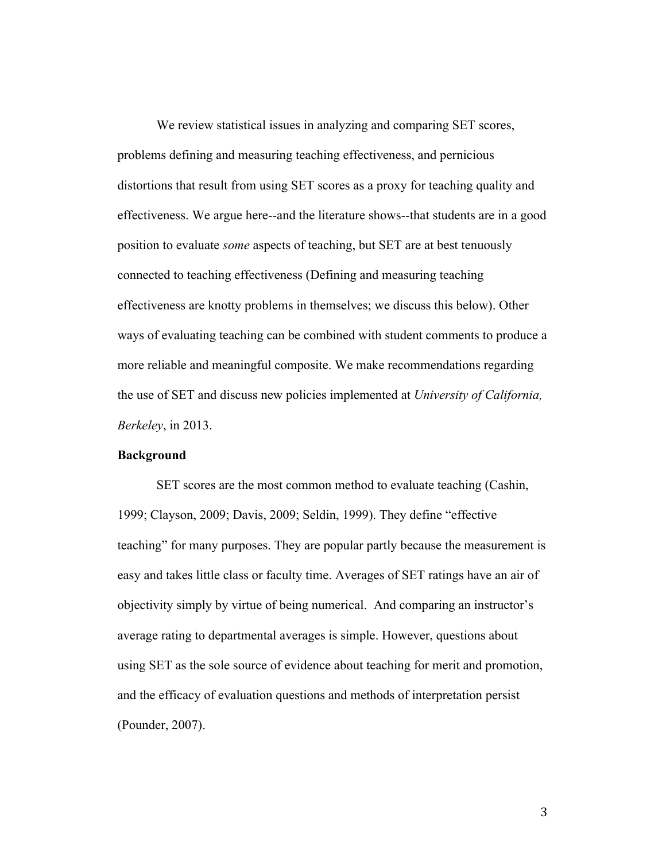We review statistical issues in analyzing and comparing SET scores, problems defining and measuring teaching effectiveness, and pernicious distortions that result from using SET scores as a proxy for teaching quality and effectiveness. We argue here--and the literature shows--that students are in a good position to evaluate *some* aspects of teaching, but SET are at best tenuously connected to teaching effectiveness (Defining and measuring teaching effectiveness are knotty problems in themselves; we discuss this below). Other ways of evaluating teaching can be combined with student comments to produce a more reliable and meaningful composite. We make recommendations regarding the use of SET and discuss new policies implemented at *University of California, Berkeley*, in 2013.

#### **Background**

SET scores are the most common method to evaluate teaching (Cashin, 1999; Clayson, 2009; Davis, 2009; Seldin, 1999). They define "effective teaching" for many purposes. They are popular partly because the measurement is easy and takes little class or faculty time. Averages of SET ratings have an air of objectivity simply by virtue of being numerical. And comparing an instructor's average rating to departmental averages is simple. However, questions about using SET as the sole source of evidence about teaching for merit and promotion, and the efficacy of evaluation questions and methods of interpretation persist (Pounder, 2007).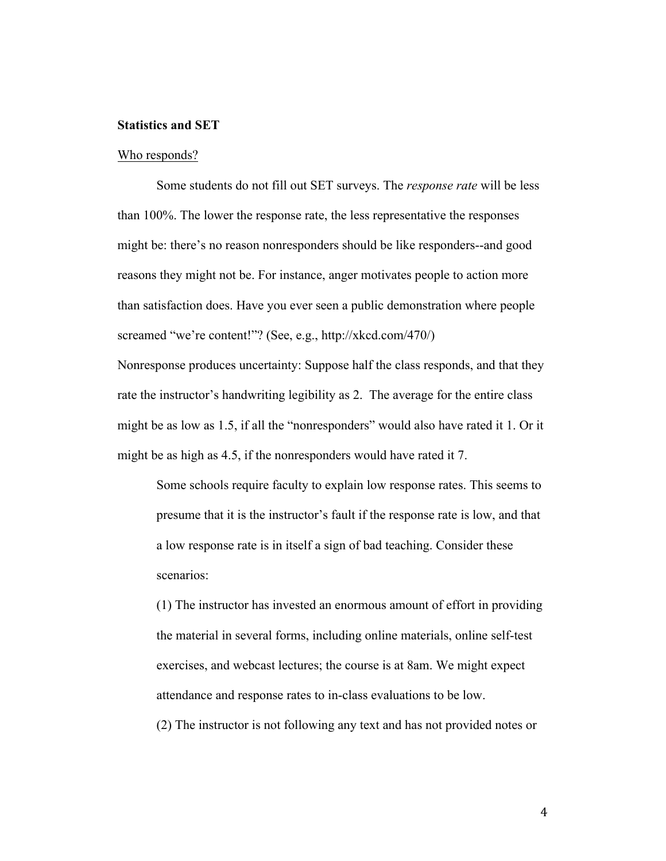# **Statistics and SET**

#### Who responds?

Some students do not fill out SET surveys. The *response rate* will be less than 100%. The lower the response rate, the less representative the responses might be: there's no reason nonresponders should be like responders--and good reasons they might not be. For instance, anger motivates people to action more than satisfaction does. Have you ever seen a public demonstration where people screamed "we're content!"? (See, e.g., http://xkcd.com/470/) Nonresponse produces uncertainty: Suppose half the class responds, and that they rate the instructor's handwriting legibility as 2. The average for the entire class might be as low as 1.5, if all the "nonresponders" would also have rated it 1. Or it might be as high as 4.5, if the nonresponders would have rated it 7.

Some schools require faculty to explain low response rates. This seems to presume that it is the instructor's fault if the response rate is low, and that a low response rate is in itself a sign of bad teaching. Consider these scenarios:

(1) The instructor has invested an enormous amount of effort in providing the material in several forms, including online materials, online self-test exercises, and webcast lectures; the course is at 8am. We might expect attendance and response rates to in-class evaluations to be low.

(2) The instructor is not following any text and has not provided notes or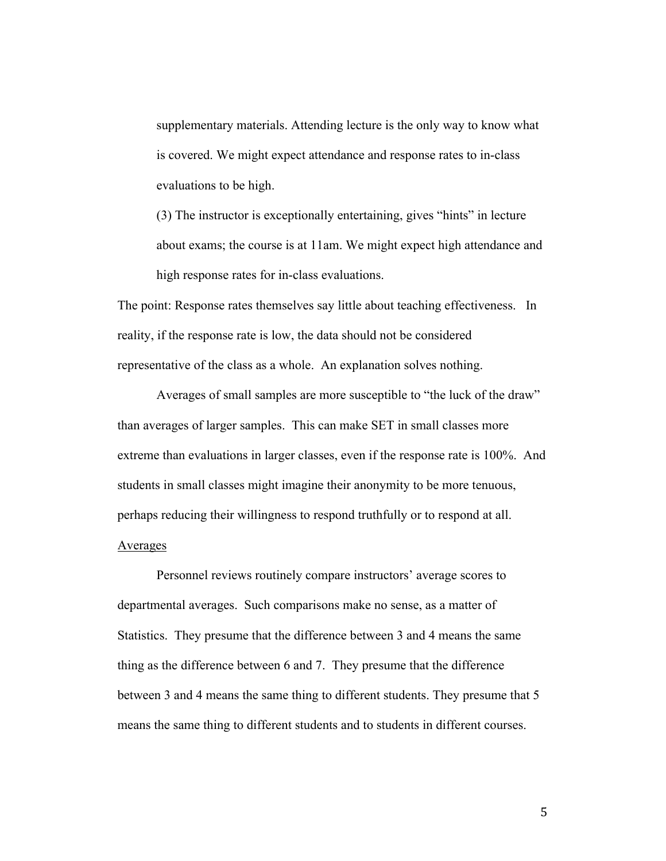supplementary materials. Attending lecture is the only way to know what is covered. We might expect attendance and response rates to in-class evaluations to be high.

(3) The instructor is exceptionally entertaining, gives "hints" in lecture about exams; the course is at 11am. We might expect high attendance and high response rates for in-class evaluations.

The point: Response rates themselves say little about teaching effectiveness. In reality, if the response rate is low, the data should not be considered representative of the class as a whole. An explanation solves nothing.

Averages of small samples are more susceptible to "the luck of the draw" than averages of larger samples. This can make SET in small classes more extreme than evaluations in larger classes, even if the response rate is 100%. And students in small classes might imagine their anonymity to be more tenuous, perhaps reducing their willingness to respond truthfully or to respond at all.

# Averages

Personnel reviews routinely compare instructors' average scores to departmental averages. Such comparisons make no sense, as a matter of Statistics. They presume that the difference between 3 and 4 means the same thing as the difference between 6 and 7. They presume that the difference between 3 and 4 means the same thing to different students. They presume that 5 means the same thing to different students and to students in different courses.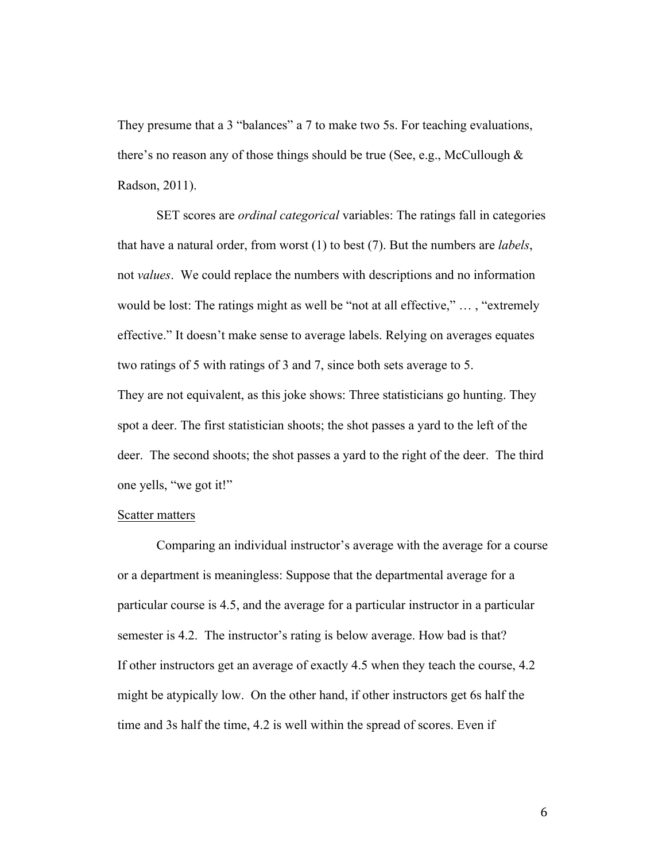They presume that a 3 "balances" a 7 to make two 5s. For teaching evaluations, there's no reason any of those things should be true (See, e.g., McCullough  $\&$ Radson, 2011).

SET scores are *ordinal categorical* variables: The ratings fall in categories that have a natural order, from worst (1) to best (7). But the numbers are *labels*, not *values*. We could replace the numbers with descriptions and no information would be lost: The ratings might as well be "not at all effective," … , "extremely effective." It doesn't make sense to average labels. Relying on averages equates two ratings of 5 with ratings of 3 and 7, since both sets average to 5. They are not equivalent, as this joke shows: Three statisticians go hunting. They spot a deer. The first statistician shoots; the shot passes a yard to the left of the deer. The second shoots; the shot passes a yard to the right of the deer. The third one yells, "we got it!"

### Scatter matters

Comparing an individual instructor's average with the average for a course or a department is meaningless: Suppose that the departmental average for a particular course is 4.5, and the average for a particular instructor in a particular semester is 4.2. The instructor's rating is below average. How bad is that? If other instructors get an average of exactly 4.5 when they teach the course, 4.2 might be atypically low. On the other hand, if other instructors get 6s half the time and 3s half the time, 4.2 is well within the spread of scores. Even if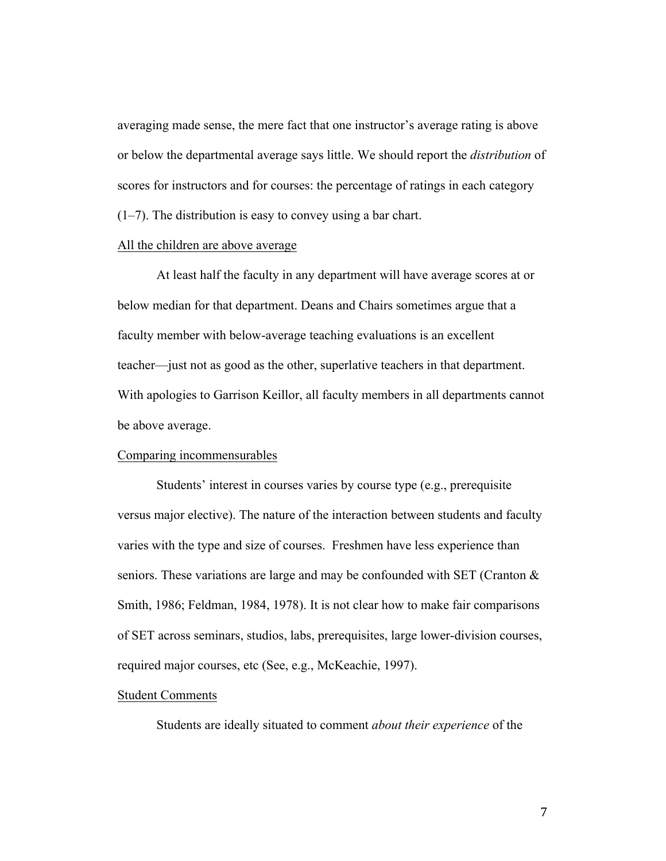averaging made sense, the mere fact that one instructor's average rating is above or below the departmental average says little. We should report the *distribution* of scores for instructors and for courses: the percentage of ratings in each category (1–7). The distribution is easy to convey using a bar chart.

# All the children are above average

At least half the faculty in any department will have average scores at or below median for that department. Deans and Chairs sometimes argue that a faculty member with below-average teaching evaluations is an excellent teacher—just not as good as the other, superlative teachers in that department. With apologies to Garrison Keillor, all faculty members in all departments cannot be above average.

#### Comparing incommensurables

Students' interest in courses varies by course type (e.g., prerequisite versus major elective). The nature of the interaction between students and faculty varies with the type and size of courses. Freshmen have less experience than seniors. These variations are large and may be confounded with SET (Cranton & Smith, 1986; Feldman, 1984, 1978). It is not clear how to make fair comparisons of SET across seminars, studios, labs, prerequisites, large lower-division courses, required major courses, etc (See, e.g., McKeachie, 1997).

#### Student Comments

Students are ideally situated to comment *about their experience* of the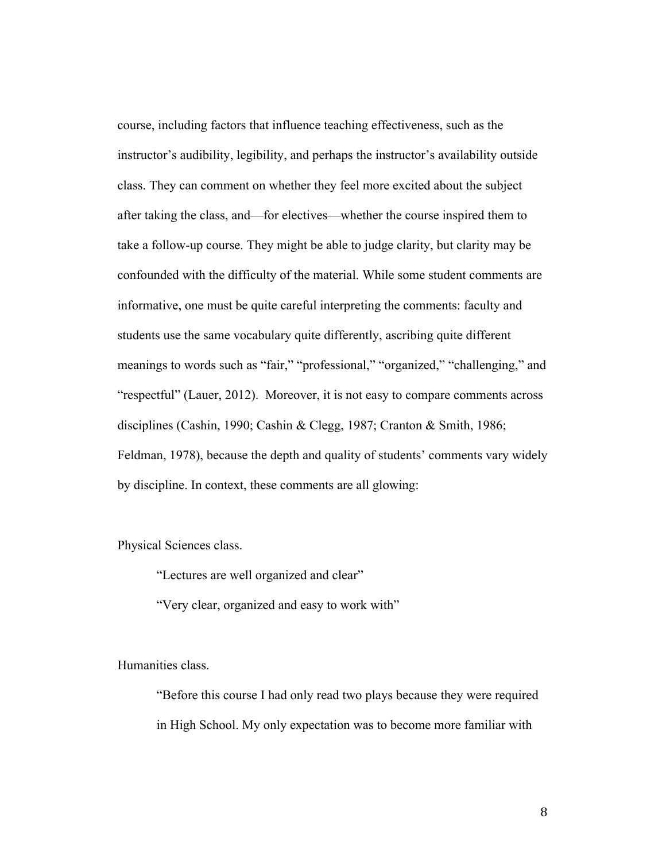course, including factors that influence teaching effectiveness, such as the instructor's audibility, legibility, and perhaps the instructor's availability outside class. They can comment on whether they feel more excited about the subject after taking the class, and—for electives—whether the course inspired them to take a follow-up course. They might be able to judge clarity, but clarity may be confounded with the difficulty of the material. While some student comments are informative, one must be quite careful interpreting the comments: faculty and students use the same vocabulary quite differently, ascribing quite different meanings to words such as "fair," "professional," "organized," "challenging," and "respectful" (Lauer, 2012). Moreover, it is not easy to compare comments across disciplines (Cashin, 1990; Cashin & Clegg, 1987; Cranton & Smith, 1986; Feldman, 1978), because the depth and quality of students' comments vary widely by discipline. In context, these comments are all glowing:

Physical Sciences class.

"Lectures are well organized and clear"

"Very clear, organized and easy to work with"

Humanities class.

"Before this course I had only read two plays because they were required in High School. My only expectation was to become more familiar with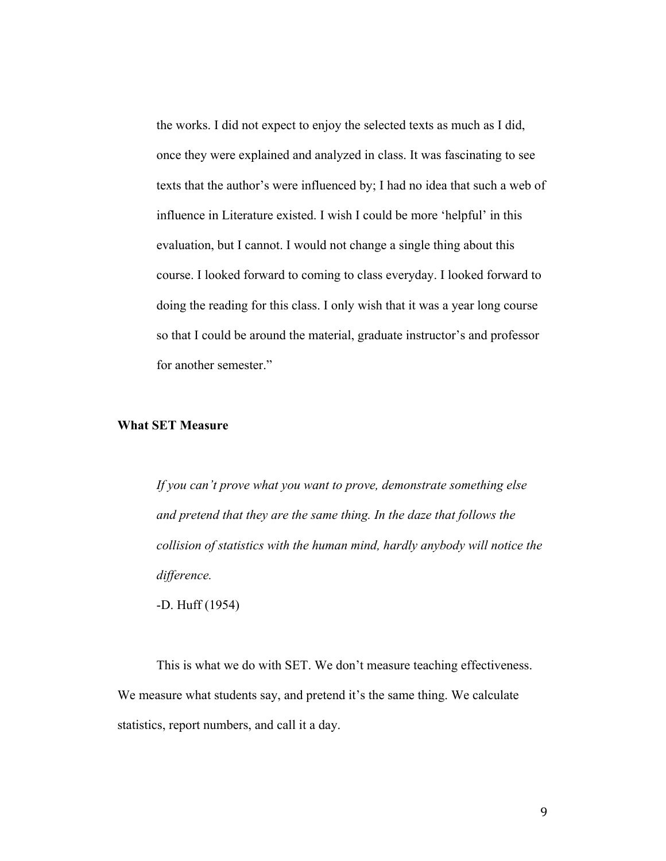the works. I did not expect to enjoy the selected texts as much as I did, once they were explained and analyzed in class. It was fascinating to see texts that the author's were influenced by; I had no idea that such a web of influence in Literature existed. I wish I could be more 'helpful' in this evaluation, but I cannot. I would not change a single thing about this course. I looked forward to coming to class everyday. I looked forward to doing the reading for this class. I only wish that it was a year long course so that I could be around the material, graduate instructor's and professor for another semester."

# **What SET Measure**

*If you can't prove what you want to prove, demonstrate something else and pretend that they are the same thing. In the daze that follows the collision of statistics with the human mind, hardly anybody will notice the difference.* 

-D. Huff (1954)

This is what we do with SET. We don't measure teaching effectiveness. We measure what students say, and pretend it's the same thing. We calculate statistics, report numbers, and call it a day.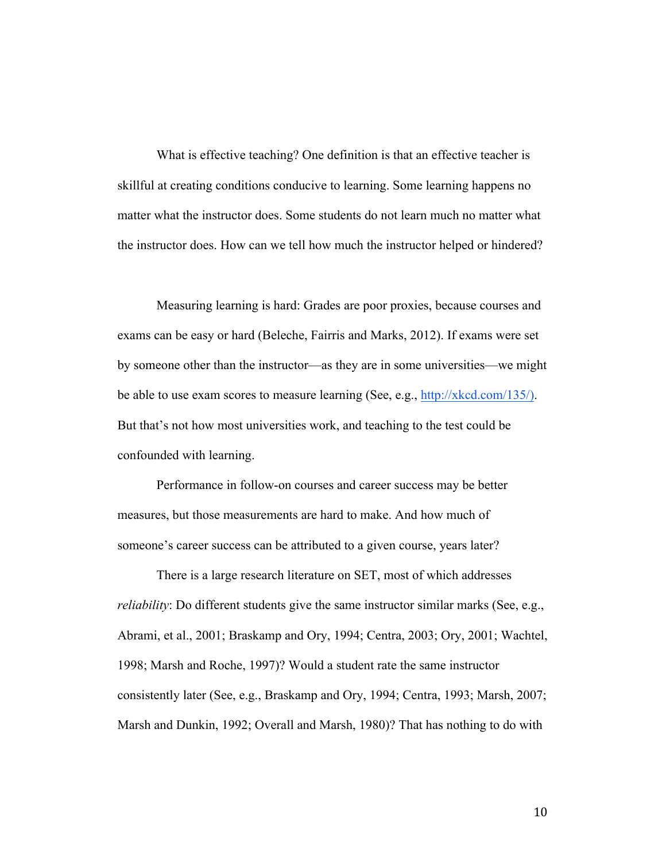What is effective teaching? One definition is that an effective teacher is skillful at creating conditions conducive to learning. Some learning happens no matter what the instructor does. Some students do not learn much no matter what the instructor does. How can we tell how much the instructor helped or hindered?

Measuring learning is hard: Grades are poor proxies, because courses and exams can be easy or hard (Beleche, Fairris and Marks, 2012). If exams were set by someone other than the instructor—as they are in some universities—we might be able to use exam scores to measure learning (See, e.g., http://xkcd.com/135/). But that's not how most universities work, and teaching to the test could be confounded with learning.

Performance in follow-on courses and career success may be better measures, but those measurements are hard to make. And how much of someone's career success can be attributed to a given course, years later?

There is a large research literature on SET, most of which addresses *reliability*: Do different students give the same instructor similar marks (See, e.g., Abrami, et al., 2001; Braskamp and Ory, 1994; Centra, 2003; Ory, 2001; Wachtel, 1998; Marsh and Roche, 1997)? Would a student rate the same instructor consistently later (See, e.g., Braskamp and Ory, 1994; Centra, 1993; Marsh, 2007; Marsh and Dunkin, 1992; Overall and Marsh, 1980)? That has nothing to do with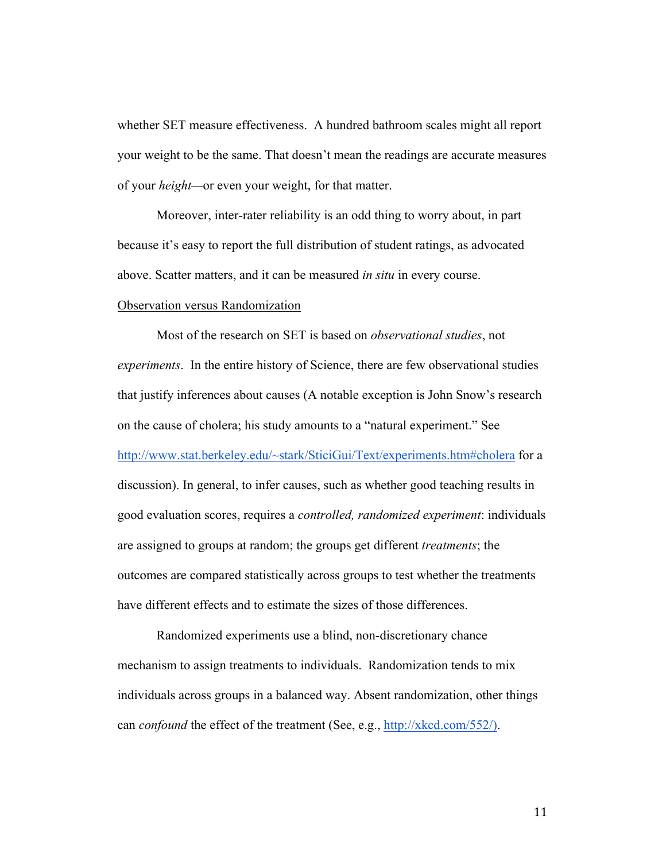whether SET measure effectiveness. A hundred bathroom scales might all report your weight to be the same. That doesn't mean the readings are accurate measures of your *height—*or even your weight, for that matter.

Moreover, inter-rater reliability is an odd thing to worry about, in part because it's easy to report the full distribution of student ratings, as advocated above. Scatter matters, and it can be measured *in situ* in every course.

# Observation versus Randomization

Most of the research on SET is based on *observational studies*, not *experiments*. In the entire history of Science, there are few observational studies that justify inferences about causes (A notable exception is John Snow's research on the cause of cholera; his study amounts to a "natural experiment." See http://www.stat.berkeley.edu/~stark/SticiGui/Text/experiments.htm#cholera for a discussion). In general, to infer causes, such as whether good teaching results in good evaluation scores, requires a *controlled, randomized experiment*: individuals are assigned to groups at random; the groups get different *treatments*; the outcomes are compared statistically across groups to test whether the treatments have different effects and to estimate the sizes of those differences.

Randomized experiments use a blind, non-discretionary chance mechanism to assign treatments to individuals. Randomization tends to mix individuals across groups in a balanced way. Absent randomization, other things can *confound* the effect of the treatment (See, e.g., http://xkcd.com/552/).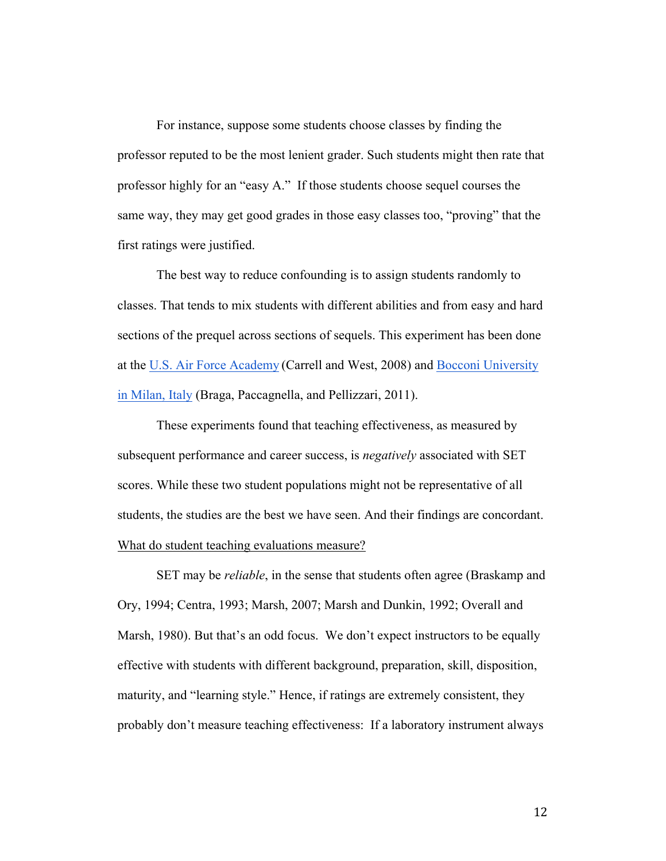For instance, suppose some students choose classes by finding the professor reputed to be the most lenient grader. Such students might then rate that professor highly for an "easy A." If those students choose sequel courses the same way, they may get good grades in those easy classes too, "proving" that the first ratings were justified.

The best way to reduce confounding is to assign students randomly to classes. That tends to mix students with different abilities and from easy and hard sections of the prequel across sections of sequels. This experiment has been done at the U.S. Air Force Academy (Carrell and West, 2008) and Bocconi University in Milan, Italy (Braga, Paccagnella, and Pellizzari, 2011).

These experiments found that teaching effectiveness, as measured by subsequent performance and career success, is *negatively* associated with SET scores. While these two student populations might not be representative of all students, the studies are the best we have seen. And their findings are concordant. What do student teaching evaluations measure?

SET may be *reliable*, in the sense that students often agree (Braskamp and Ory, 1994; Centra, 1993; Marsh, 2007; Marsh and Dunkin, 1992; Overall and Marsh, 1980). But that's an odd focus. We don't expect instructors to be equally effective with students with different background, preparation, skill, disposition, maturity, and "learning style." Hence, if ratings are extremely consistent, they probably don't measure teaching effectiveness: If a laboratory instrument always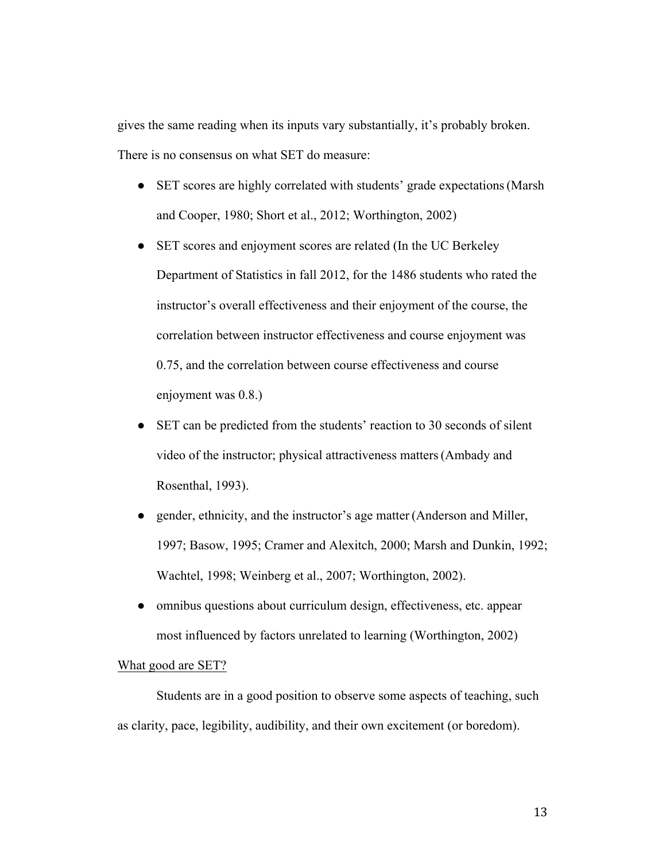gives the same reading when its inputs vary substantially, it's probably broken. There is no consensus on what SET do measure:

- SET scores are highly correlated with students' grade expectations (Marsh) and Cooper, 1980; Short et al., 2012; Worthington, 2002)
- SET scores and enjoyment scores are related (In the UC Berkeley Department of Statistics in fall 2012, for the 1486 students who rated the instructor's overall effectiveness and their enjoyment of the course, the correlation between instructor effectiveness and course enjoyment was 0.75, and the correlation between course effectiveness and course enjoyment was 0.8.)
- SET can be predicted from the students' reaction to 30 seconds of silent video of the instructor; physical attractiveness matters(Ambady and Rosenthal, 1993).
- gender, ethnicity, and the instructor's age matter (Anderson and Miller, 1997; Basow, 1995; Cramer and Alexitch, 2000; Marsh and Dunkin, 1992; Wachtel, 1998; Weinberg et al., 2007; Worthington, 2002).
- omnibus questions about curriculum design, effectiveness, etc. appear most influenced by factors unrelated to learning (Worthington, 2002)

#### What good are SET?

Students are in a good position to observe some aspects of teaching, such as clarity, pace, legibility, audibility, and their own excitement (or boredom).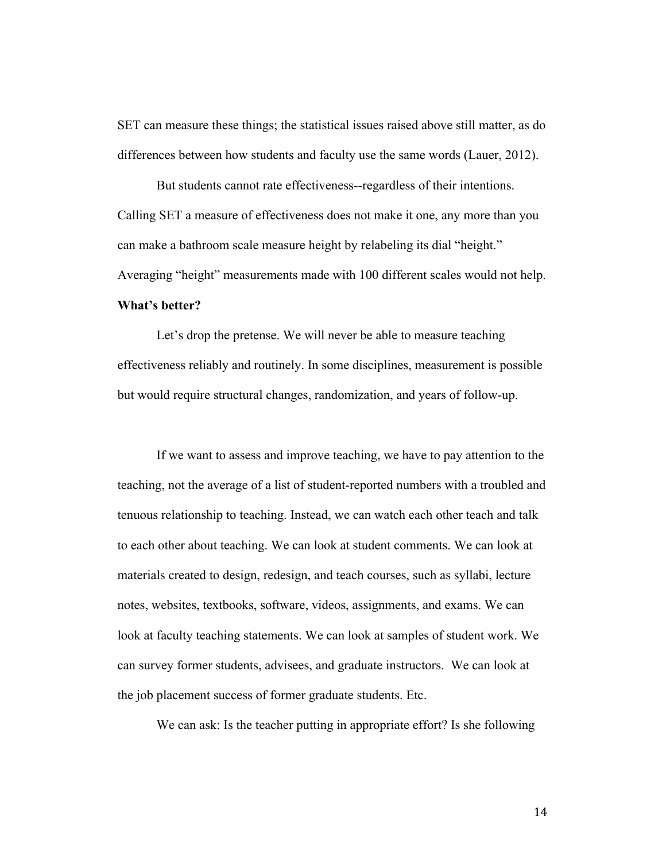SET can measure these things; the statistical issues raised above still matter, as do differences between how students and faculty use the same words (Lauer, 2012).

But students cannot rate effectiveness--regardless of their intentions. Calling SET a measure of effectiveness does not make it one, any more than you can make a bathroom scale measure height by relabeling its dial "height." Averaging "height" measurements made with 100 different scales would not help. **What's better?**

Let's drop the pretense. We will never be able to measure teaching effectiveness reliably and routinely. In some disciplines, measurement is possible but would require structural changes, randomization, and years of follow-up.

If we want to assess and improve teaching, we have to pay attention to the teaching, not the average of a list of student-reported numbers with a troubled and tenuous relationship to teaching. Instead, we can watch each other teach and talk to each other about teaching. We can look at student comments. We can look at materials created to design, redesign, and teach courses, such as syllabi, lecture notes, websites, textbooks, software, videos, assignments, and exams. We can look at faculty teaching statements. We can look at samples of student work. We can survey former students, advisees, and graduate instructors. We can look at the job placement success of former graduate students. Etc.

We can ask: Is the teacher putting in appropriate effort? Is she following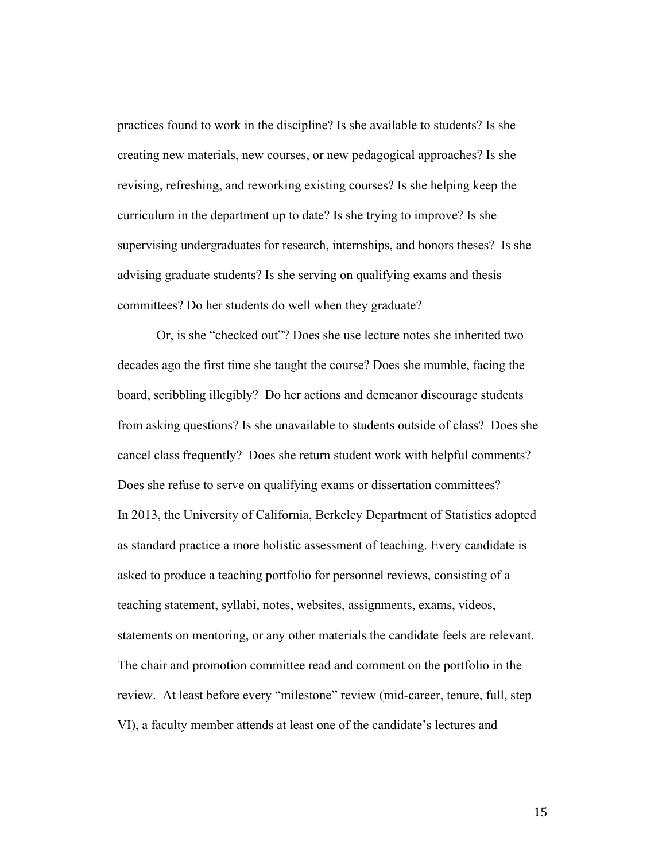practices found to work in the discipline? Is she available to students? Is she creating new materials, new courses, or new pedagogical approaches? Is she revising, refreshing, and reworking existing courses? Is she helping keep the curriculum in the department up to date? Is she trying to improve? Is she supervising undergraduates for research, internships, and honors theses? Is she advising graduate students? Is she serving on qualifying exams and thesis committees? Do her students do well when they graduate?

Or, is she "checked out"? Does she use lecture notes she inherited two decades ago the first time she taught the course? Does she mumble, facing the board, scribbling illegibly? Do her actions and demeanor discourage students from asking questions? Is she unavailable to students outside of class? Does she cancel class frequently? Does she return student work with helpful comments? Does she refuse to serve on qualifying exams or dissertation committees? In 2013, the University of California, Berkeley Department of Statistics adopted as standard practice a more holistic assessment of teaching. Every candidate is asked to produce a teaching portfolio for personnel reviews, consisting of a teaching statement, syllabi, notes, websites, assignments, exams, videos, statements on mentoring, or any other materials the candidate feels are relevant. The chair and promotion committee read and comment on the portfolio in the review. At least before every "milestone" review (mid-career, tenure, full, step VI), a faculty member attends at least one of the candidate's lectures and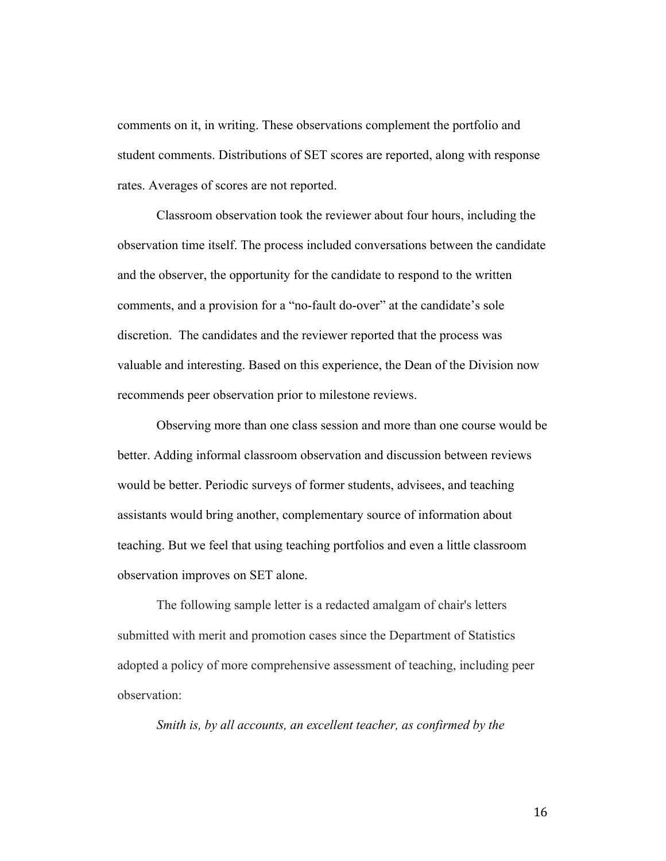comments on it, in writing. These observations complement the portfolio and student comments. Distributions of SET scores are reported, along with response rates. Averages of scores are not reported.

Classroom observation took the reviewer about four hours, including the observation time itself. The process included conversations between the candidate and the observer, the opportunity for the candidate to respond to the written comments, and a provision for a "no-fault do-over" at the candidate's sole discretion. The candidates and the reviewer reported that the process was valuable and interesting. Based on this experience, the Dean of the Division now recommends peer observation prior to milestone reviews.

Observing more than one class session and more than one course would be better. Adding informal classroom observation and discussion between reviews would be better. Periodic surveys of former students, advisees, and teaching assistants would bring another, complementary source of information about teaching. But we feel that using teaching portfolios and even a little classroom observation improves on SET alone.

The following sample letter is a redacted amalgam of chair's letters submitted with merit and promotion cases since the Department of Statistics adopted a policy of more comprehensive assessment of teaching, including peer observation:

*Smith is, by all accounts, an excellent teacher, as confirmed by the*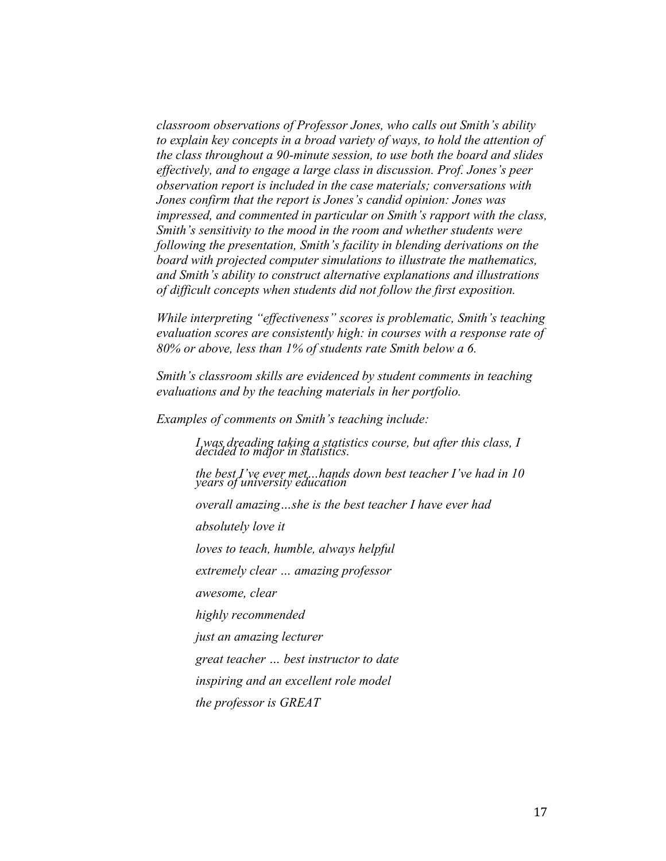*classroom observations of Professor Jones, who calls out Smith's ability to explain key concepts in a broad variety of ways, to hold the attention of the class throughout a 90-minute session, to use both the board and slides effectively, and to engage a large class in discussion. Prof. Jones's peer observation report is included in the case materials; conversations with Jones confirm that the report is Jones's candid opinion: Jones was impressed, and commented in particular on Smith's rapport with the class, Smith's sensitivity to the mood in the room and whether students were following the presentation, Smith's facility in blending derivations on the board with projected computer simulations to illustrate the mathematics, and Smith's ability to construct alternative explanations and illustrations of difficult concepts when students did not follow the first exposition.* 

*While interpreting "effectiveness" scores is problematic, Smith's teaching evaluation scores are consistently high: in courses with a response rate of 80% or above, less than 1% of students rate Smith below a 6.* 

*Smith's classroom skills are evidenced by student comments in teaching evaluations and by the teaching materials in her portfolio.*

*Examples of comments on Smith's teaching include:*

*I was dreading taking a statistics course, but after this class, I decided to major in statistics.*

*the best I've ever met…hands down best teacher I've had in 10 years of university education*

*overall amazing…she is the best teacher I have ever had*

*absolutely love it*

*loves to teach, humble, always helpful*

*extremely clear … amazing professor*

*awesome, clear*

*highly recommended*

*just an amazing lecturer*

*great teacher … best instructor to date*

*inspiring and an excellent role model*

*the professor is GREAT*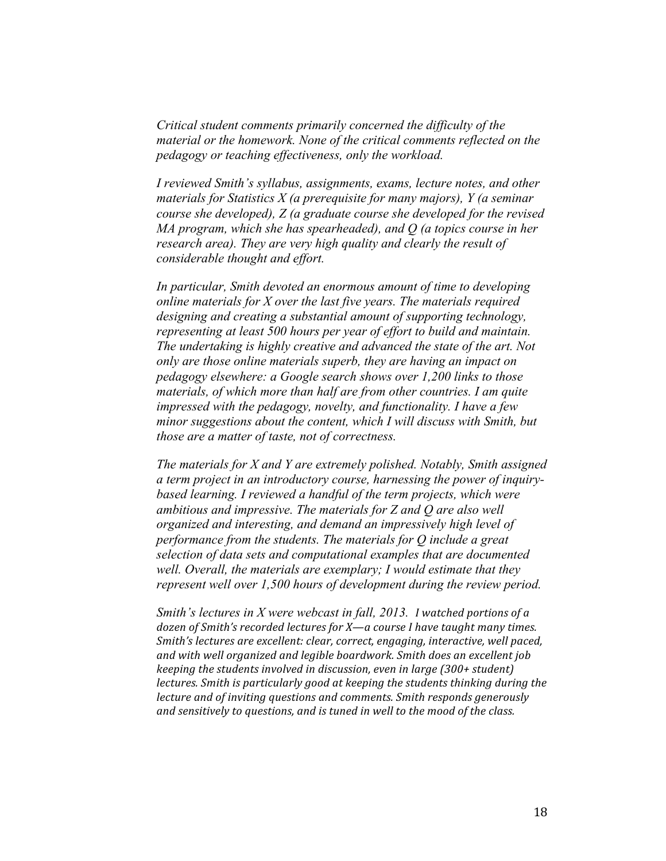*Critical student comments primarily concerned the difficulty of the material or the homework. None of the critical comments reflected on the pedagogy or teaching effectiveness, only the workload.*

*I reviewed Smith's syllabus, assignments, exams, lecture notes, and other materials for Statistics X (a prerequisite for many majors), Y (a seminar course she developed), Z (a graduate course she developed for the revised MA program, which she has spearheaded), and Q (a topics course in her research area). They are very high quality and clearly the result of considerable thought and effort.* 

*In particular, Smith devoted an enormous amount of time to developing online materials for X over the last five years. The materials required designing and creating a substantial amount of supporting technology, representing at least 500 hours per year of effort to build and maintain. The undertaking is highly creative and advanced the state of the art. Not only are those online materials superb, they are having an impact on pedagogy elsewhere: a Google search shows over 1,200 links to those materials, of which more than half are from other countries. I am quite impressed with the pedagogy, novelty, and functionality. I have a few minor suggestions about the content, which I will discuss with Smith, but those are a matter of taste, not of correctness.*

*The materials for X and Y are extremely polished. Notably, Smith assigned a term project in an introductory course, harnessing the power of inquirybased learning. I reviewed a handful of the term projects, which were ambitious and impressive. The materials for Z and Q are also well organized and interesting, and demand an impressively high level of performance from the students. The materials for Q include a great selection of data sets and computational examples that are documented well. Overall, the materials are exemplary; I would estimate that they represent well over 1,500 hours of development during the review period.* 

*Smith's lectures in X were webcast in fall, 2013. I watched portions of a dozen of Smith's recorded lectures for X—a course I have taught many times. Smith's lectures are excellent: clear, correct, engaging, interactive, well paced,* and with well organized and legible boardwork. Smith does an excellent job *keeping the students involved in discussion, even in large (300+ student) lectures.* Smith is particularly good at keeping the students thinking during the *lecture and of inviting questions and comments. Smith responds generously* and sensitively to questions, and is tuned in well to the mood of the class.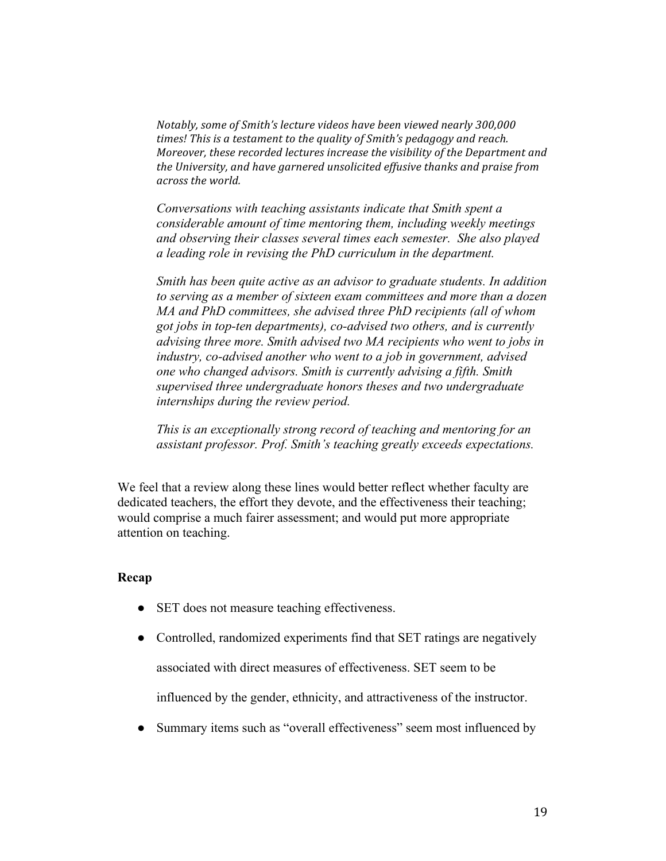*Notably, some of Smith's lecture videos have been viewed nearly 300,000 times!* This is a testament to the quality of Smith's pedagogy and reach. *Moreover, these recorded lectures increase the visibility of the Department and the University, and have garnered unsolicited effusive thanks and praise from across the world.*

*Conversations with teaching assistants indicate that Smith spent a considerable amount of time mentoring them, including weekly meetings and observing their classes several times each semester. She also played a leading role in revising the PhD curriculum in the department.*

*Smith has been quite active as an advisor to graduate students. In addition to serving as a member of sixteen exam committees and more than a dozen MA and PhD committees, she advised three PhD recipients (all of whom got jobs in top-ten departments), co-advised two others, and is currently advising three more. Smith advised two MA recipients who went to jobs in industry, co-advised another who went to a job in government, advised one who changed advisors. Smith is currently advising a fifth. Smith supervised three undergraduate honors theses and two undergraduate internships during the review period.* 

*This is an exceptionally strong record of teaching and mentoring for an assistant professor. Prof. Smith's teaching greatly exceeds expectations.*

We feel that a review along these lines would better reflect whether faculty are dedicated teachers, the effort they devote, and the effectiveness their teaching; would comprise a much fairer assessment; and would put more appropriate attention on teaching.

## **Recap**

- SET does not measure teaching effectiveness.
- Controlled, randomized experiments find that SET ratings are negatively associated with direct measures of effectiveness. SET seem to be

influenced by the gender, ethnicity, and attractiveness of the instructor.

• Summary items such as "overall effectiveness" seem most influenced by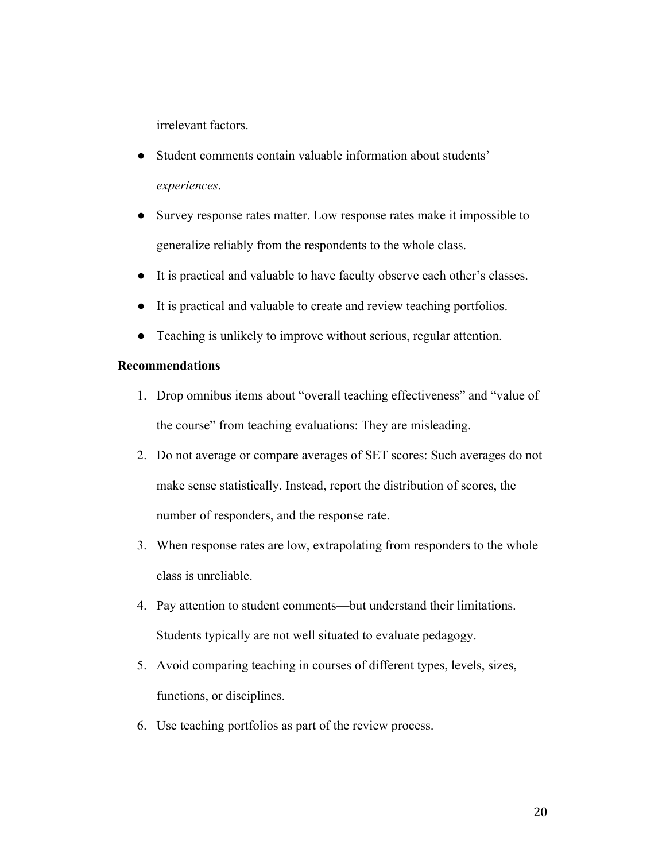irrelevant factors.

- Student comments contain valuable information about students' *experiences*.
- Survey response rates matter. Low response rates make it impossible to generalize reliably from the respondents to the whole class.
- It is practical and valuable to have faculty observe each other's classes.
- It is practical and valuable to create and review teaching portfolios.
- Teaching is unlikely to improve without serious, regular attention.

## **Recommendations**

- 1. Drop omnibus items about "overall teaching effectiveness" and "value of the course" from teaching evaluations: They are misleading.
- 2. Do not average or compare averages of SET scores: Such averages do not make sense statistically. Instead, report the distribution of scores, the number of responders, and the response rate.
- 3. When response rates are low, extrapolating from responders to the whole class is unreliable.
- 4. Pay attention to student comments—but understand their limitations. Students typically are not well situated to evaluate pedagogy.
- 5. Avoid comparing teaching in courses of different types, levels, sizes, functions, or disciplines.
- 6. Use teaching portfolios as part of the review process.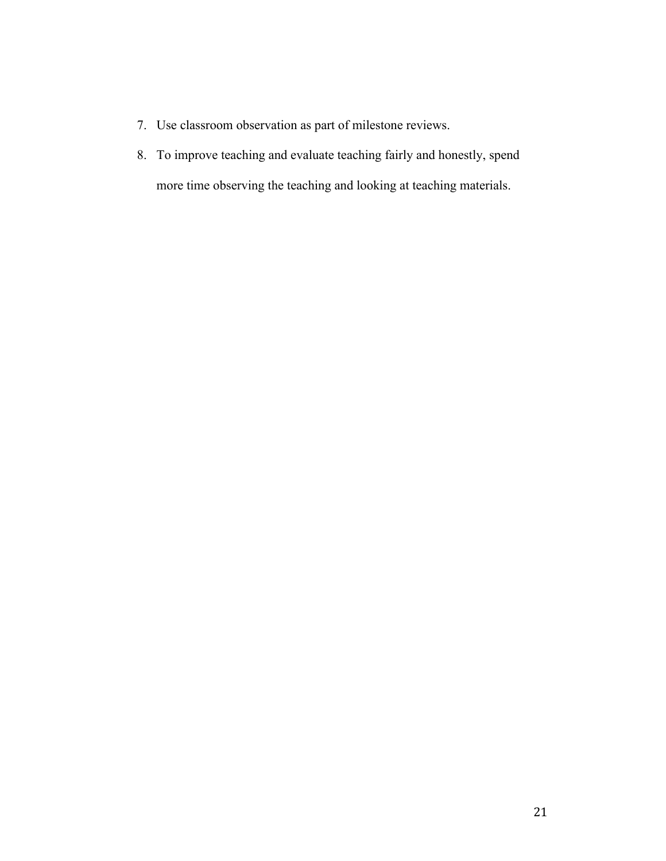- 7. Use classroom observation as part of milestone reviews.
- 8. To improve teaching and evaluate teaching fairly and honestly, spend more time observing the teaching and looking at teaching materials.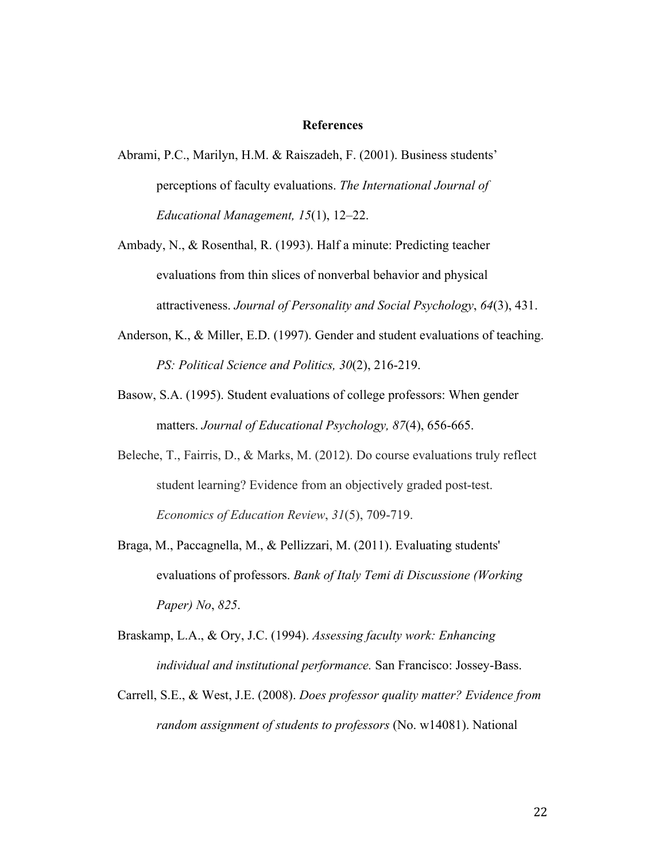## **References**

- Abrami, P.C., Marilyn, H.M. & Raiszadeh, F. (2001). Business students' perceptions of faculty evaluations. *The International Journal of Educational Management, 15*(1), 12–22.
- Ambady, N., & Rosenthal, R. (1993). Half a minute: Predicting teacher evaluations from thin slices of nonverbal behavior and physical attractiveness. *Journal of Personality and Social Psychology*, *64*(3), 431.
- Anderson, K., & Miller, E.D. (1997). Gender and student evaluations of teaching. *PS: Political Science and Politics, 30*(2), 216-219.
- Basow, S.A. (1995). Student evaluations of college professors: When gender matters. *Journal of Educational Psychology, 87*(4), 656-665.
- Beleche, T., Fairris, D., & Marks, M. (2012). Do course evaluations truly reflect student learning? Evidence from an objectively graded post-test. *Economics of Education Review*, *31*(5), 709-719.
- Braga, M., Paccagnella, M., & Pellizzari, M. (2011). Evaluating students' evaluations of professors. *Bank of Italy Temi di Discussione (Working Paper) No*, *825*.
- Braskamp, L.A., & Ory, J.C. (1994). *Assessing faculty work: Enhancing individual and institutional performance.* San Francisco: Jossey-Bass.
- Carrell, S.E., & West, J.E. (2008). *Does professor quality matter? Evidence from random assignment of students to professors* (No. w14081). National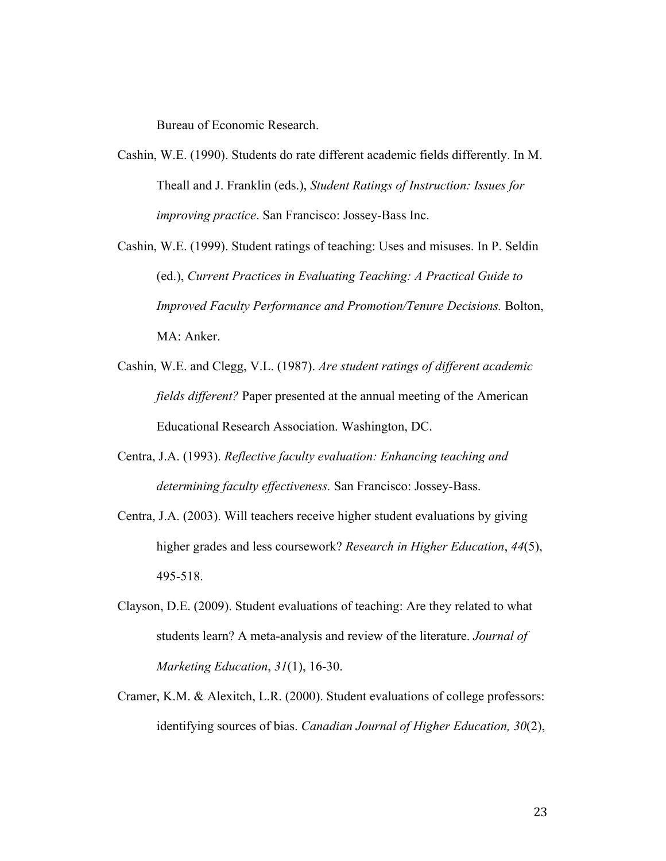Bureau of Economic Research.

- Cashin, W.E. (1990). Students do rate different academic fields differently. In M. Theall and J. Franklin (eds.), *Student Ratings of Instruction: Issues for improving practice*. San Francisco: Jossey-Bass Inc.
- Cashin, W.E. (1999). Student ratings of teaching: Uses and misuses. In P. Seldin (ed.), *Current Practices in Evaluating Teaching: A Practical Guide to Improved Faculty Performance and Promotion/Tenure Decisions.* Bolton, MA: Anker.
- Cashin, W.E. and Clegg, V.L. (1987). *Are student ratings of different academic fields different?* Paper presented at the annual meeting of the American Educational Research Association. Washington, DC.
- Centra, J.A. (1993). *Reflective faculty evaluation: Enhancing teaching and determining faculty effectiveness.* San Francisco: Jossey-Bass.
- Centra, J.A. (2003). Will teachers receive higher student evaluations by giving higher grades and less coursework? *Research in Higher Education*, *44*(5), 495-518.
- Clayson, D.E. (2009). Student evaluations of teaching: Are they related to what students learn? A meta-analysis and review of the literature. *Journal of Marketing Education*, *31*(1), 16-30.
- Cramer, K.M. & Alexitch, L.R. (2000). Student evaluations of college professors: identifying sources of bias. *Canadian Journal of Higher Education, 30*(2),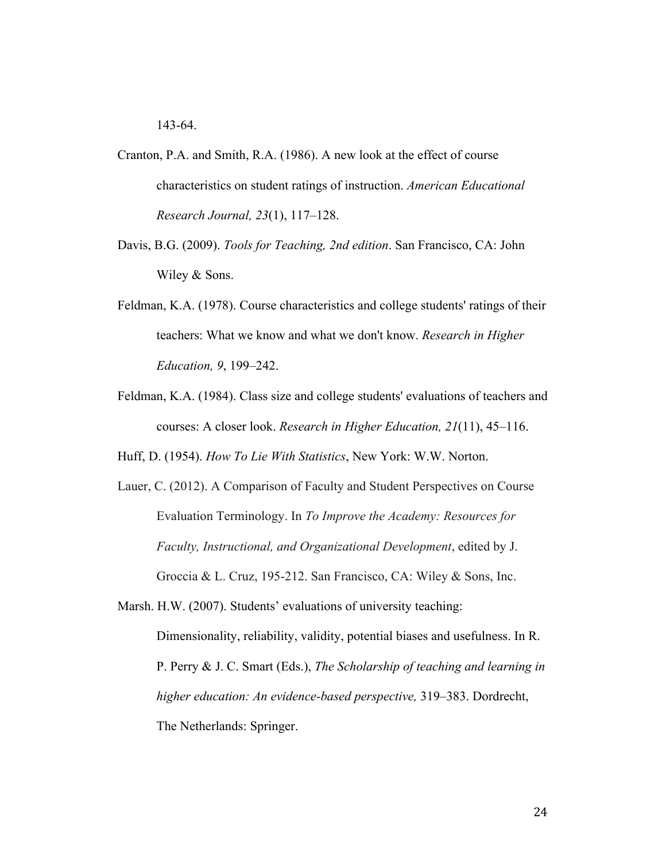143-64.

- Cranton, P.A. and Smith, R.A. (1986). A new look at the effect of course characteristics on student ratings of instruction. *American Educational Research Journal, 23*(1), 117–128.
- Davis, B.G. (2009). *Tools for Teaching, 2nd edition*. San Francisco, CA: John Wiley & Sons.
- Feldman, K.A. (1978). Course characteristics and college students' ratings of their teachers: What we know and what we don't know. *Research in Higher Education, 9*, 199–242.
- Feldman, K.A. (1984). Class size and college students' evaluations of teachers and courses: A closer look. *Research in Higher Education, 21*(11), 45–116.

Huff, D. (1954). *How To Lie With Statistics*, New York: W.W. Norton.

Lauer, C. (2012). A Comparison of Faculty and Student Perspectives on Course Evaluation Terminology. In *To Improve the Academy: Resources for Faculty, Instructional, and Organizational Development*, edited by J. Groccia & L. Cruz, 195-212. San Francisco, CA: Wiley & Sons, Inc.

Marsh. H.W. (2007). Students' evaluations of university teaching: Dimensionality, reliability, validity, potential biases and usefulness. In R. P. Perry & J. C. Smart (Eds.), *The Scholarship of teaching and learning in higher education: An evidence-based perspective,* 319–383. Dordrecht, The Netherlands: Springer.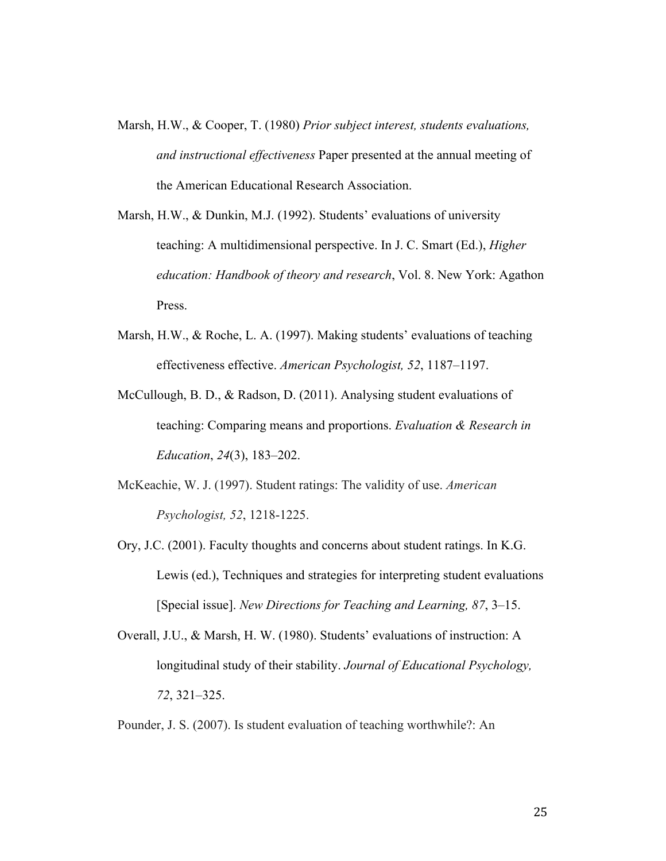- Marsh, H.W., & Cooper, T. (1980) *Prior subject interest, students evaluations, and instructional effectiveness* Paper presented at the annual meeting of the American Educational Research Association.
- Marsh, H.W., & Dunkin, M.J. (1992). Students' evaluations of university teaching: A multidimensional perspective. In J. C. Smart (Ed.), *Higher education: Handbook of theory and research*, Vol. 8. New York: Agathon Press.
- Marsh, H.W., & Roche, L. A. (1997). Making students' evaluations of teaching effectiveness effective. *American Psychologist, 52*, 1187–1197.
- McCullough, B. D., & Radson, D. (2011). Analysing student evaluations of teaching: Comparing means and proportions. *Evaluation & Research in Education*, *24*(3), 183–202.
- McKeachie, W. J. (1997). Student ratings: The validity of use. *American Psychologist, 52*, 1218-1225.
- Ory, J.C. (2001). Faculty thoughts and concerns about student ratings. In K.G. Lewis (ed.), Techniques and strategies for interpreting student evaluations [Special issue]. *New Directions for Teaching and Learning, 87*, 3–15.
- Overall, J.U., & Marsh, H. W. (1980). Students' evaluations of instruction: A longitudinal study of their stability. *Journal of Educational Psychology, 72*, 321–325.

Pounder, J. S. (2007). Is student evaluation of teaching worthwhile?: An